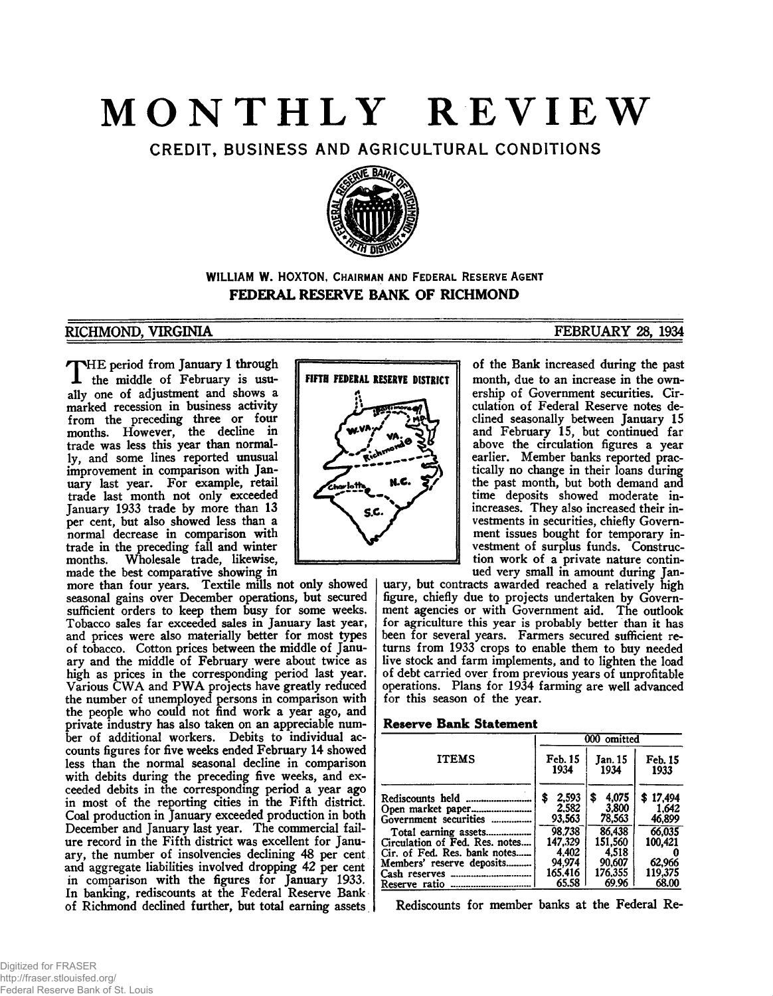## **MONTHLY REVIEW**

CREDIT, BUSINESS AND AGRICULTURAL CONDITIONS



#### **WILLIAM W. HOXTON, CHAIRMAN AND FEDERAL RESERVE AGENT FEDERAL RESERVE BANK OF RICHMOND**

#### RICHMOND, VIRGINIA ETHEROGIA ETHEROGIA ETHEROGIA ETHEROGIA ETHEROGIA ETHEROGIA ETHEROGIA ETHEROGIA ETHEROGIA E

THE period from January 1 through<br>the middle of February is usuthe middle of February is usually one of adjustment and shows a marked recession in business activity from the preceding three or four months. However, the decline in trade was less this year than normally, and some lines reported unusual improvement in comparison with January last year. For example, retail trade last month not only exceeded January 1933 trade by more than 13 per cent, but also showed less than a normal decrease in comparison with trade in the preceding fall and winter Wholesale trade, likewise, made the best comparative showing in

more than four years. Textile mills not only showed seasonal gains over December operations, but secured sufficient orders to keep them busy for some weeks. Tobacco sales far exceeded sales in January last year, and prices were also materially better for most types of tobacco. Cotton prices between the middle of January and the middle of February were about twice as high as prices in the corresponding period last year. Various CWA and PWA projects have greatly reduced the number of unemployed persons in comparison with the people who could not find work a year ago, and private industry has also taken on an appreciable number of additional workers. Debits to individual accounts figures for five weeks ended February 14 showed less than the normal seasonal decline in comparison with debits during the preceding five weeks, and exceeded debits in the corresponding period a year ago in most of the reporting cities in the Fifth district. Coal production in January exceeded production in both December and January last year. The commercial failure record in the Fifth district was excellent for January, the number of insolvencies declining 48 per cent and aggregate liabilities involved dropping 42 per cent in comparison with the figures for January 1933. In banking, rediscounts at the Federal Reserve Bank of Richmond declined further, but total earning assets

# FIFTH FEDERAL RESERVE DISTRICT S.G

of the Bank increased during the past month, due to an increase in the ownership of Government securities. Circulation of Federal Reserve notes declined seasonally between January IS and February IS, but continued far above the circulation figures a year earlier. Member banks reported practically no change in their loans during the past month, but both demand and time deposits showed moderate inincreases. They also increased their investments in securities, chiefly Government issues bought for temporary investment of surplus funds. Construction work of a private nature continued very small in amount during Jan-

uary, but contracts awarded reached a relatively high figure, chiefly due to projects undertaken by Government agencies or with Government aid. The outlook for agriculture this year is probably better than it has been for several years. Farmers secured sufficient returns from 1933 crops to enable them to buy needed live stock and farm implements, and to lighten the load of debt carried over from previous years of unprofitable operations. Plans for 1934 farming are well advanced for this season of the year.

#### **Reserve Bank Statement**

|                                                                                                    | 000 omitted                    |                                |                             |  |
|----------------------------------------------------------------------------------------------------|--------------------------------|--------------------------------|-----------------------------|--|
| <b>ITEMS</b>                                                                                       | Feb. 15<br>1934                | Jan. 15<br>1934                | Feb. 15<br>1933             |  |
| Rediscounts held<br>Open market paper<br>Government securities                                     | 2,593<br>\$<br>2,582<br>93.563 | 4,075<br>\$<br>3,800<br>78,563 | \$17,494<br>1.642<br>46,899 |  |
| Total earning assets<br>Circulation of Fed. Res. notes<br>Cir. of Fed. Res. bank notes             | 98.738<br>147.329<br>4.402     | 86,438<br>151.560<br>4.518     | 66.035<br>100.421           |  |
| Members' reserve deposits<br>Cash reserves<br>-------------------------------<br>Reserve ratio<br> | 94.974<br>165.416<br>65.58     | 90,607<br>176.355<br>69.96     | 62,966<br>119.375<br>68.00  |  |

Rediscounts for member banks at the Federal Re-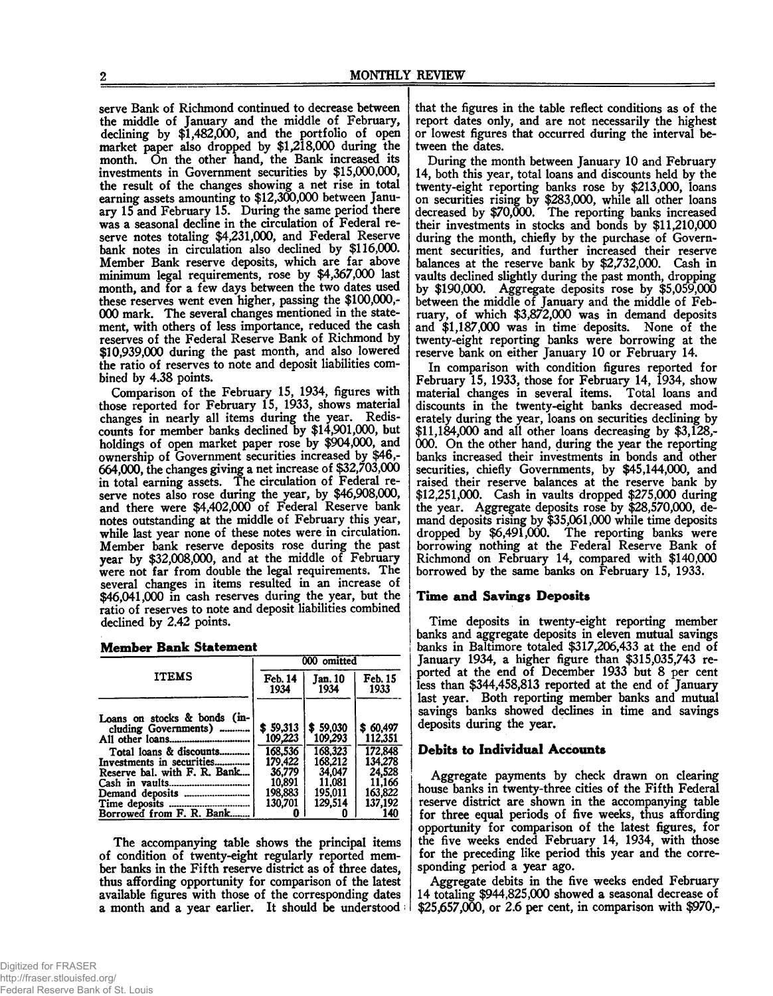serve Bank of Richmond continued to decrease between the middle of January and the middle of February, declining by \$1,482,000, and the portfolio of open market paper also dropped by \$1,218,000 during the month. On the other hand, the Bank increased its investments in Government securities by \$15,000,000, the result of the changes showing a net rise in total earning assets amounting to \$12,300,000 between January 15 and February 15. During the same period there was a seasonal decline in the circulation of Federal reserve notes totaling \$4,231,000, and Federal Reserve bank notes in circulation also declined by \$116,000. Member Bank reserve deposits, which are far above minimum legal requirements, rose by \$4,367,000 last month, and for a few days between the two dates used these reserves went even higher, passing the \$100,000,- 000 mark. The several changes mentioned in the statement, with others of less importance, reduced the cash reserves of the Federal Reserve Bank of Richmond by \$10,939,000 during the past month, and also lowered the ratio of reserves to note and deposit liabilities combined by 4.38 points.

Comparison of the February 15, 1934, figures with those reported for February 15, 1933, shows material changes in nearly all items during the year. Rediscounts for member banks declined by \$14,901,000, but holdings of open market paper rose by \$904,000, and ownership of Government securities increased by \$46,- 664,000, the changes giving a net increase of \$32,703,000 in total earning assets. The circulation of Federal reserve notes also rose during the year, by \$46,908,000, and there were \$4,402,000 of Federal Reserve bank notes outstanding at the middle of February this year, while last year none of these notes were in circulation. Member bank reserve deposits rose during the past year by \$32,008,000, and at the middle of February were not far from double the legal requirements. The several changes in items resulted in an increase of \$46,041,000 in cash reserves during the year, but the ratio of reserves to note and deposit liabilities combined declined by 2.42 points.

|  | <b>Member Bank Statement</b> |
|--|------------------------------|

| 000 omitted                                                                         |                                                                                     |                                                                                            |  |
|-------------------------------------------------------------------------------------|-------------------------------------------------------------------------------------|--------------------------------------------------------------------------------------------|--|
| Feb. 14<br>1934                                                                     | Jan. 10<br>1934                                                                     | Feb. 15<br>1933                                                                            |  |
| \$59,313<br>109,223<br>168.536<br>179,422<br>36,779<br>10.891<br>198,883<br>130,701 | \$59,030<br>109,293<br>168.323<br>168.212<br>34,047<br>11.081<br>195.011<br>129.514 | \$60,497<br>112,351<br>172.848<br>134.278<br>24.528<br>11,166<br>163,822<br>137,192<br>140 |  |
|                                                                                     |                                                                                     |                                                                                            |  |

The accompanying table shows the principal items of condition of twenty-eight regularly reported member banks in the Fifth reserve district as of three dates, thus affording opportunity for comparison of the latest available figures with those of the corresponding dates a month and a year earlier. It should be understood; that the figures in the table reflect conditions as of the report dates only, and are not necessarily the highest or lowest figures that occurred during the interval between the dates.

During the month between January 10 and February 14, both this year, total loans and discounts held by the twenty-eight reporting banks rose by \$213,000, loans on securities rising by \$283,000, while all other loans decreased by \$70,000. The reporting banks increased their investments in stocks and bonds by \$11,210,000 during the month, chiefly by the purchase of Government securities, and further increased their reserve balances at the reserve bank by \$2,732,000. Cash in vaults declined slightly during the past month, dropping by \$190,000. Aggregate deposits rose by \$5,059,000 between the middle of January and the middle of February, of which \$3,872,000 was in demand deposits and \$1,187,000 was in time deposits. None of the twenty-eight reporting banks were borrowing at the reserve bank on either January 10 or February 14.

In comparison with condition figures reported for February 15, 1933, those for February 14, 1934, show material changes in several items. Total loans and discounts in the twenty-eight banks decreased moderately during the year, loans on securities declining by \$11,184,000 and all other loans decreasing by \$3,128,- 000. On the other hand, during the year the reporting banks increased their investments in bonds and other securities, chiefly Governments, by \$45,144,000, and raised their reserve balances at the reserve bank by \$12,251,000. Cash in vaults dropped \$275,000 during the year. Aggregate deposits rose by \$28,570,000, demand deposits rising by \$35,061,000 while time deposits dropped by \$6,491,000. The reporting banks were borrowing nothing at the Federal Reserve Bank of Richmond on February 14, compared with \$140,000 borrowed by the same banks on February 15, 1933.

#### **Time and Savings Deposits**

Time deposits in twenty-eight reporting member banks and aggregate deposits in eleven mutual savings banks in Baltimore totaled \$317,206,433 at the end of January 1934, a higher figure than \$315,035,743 reported at the end of December 1933 but 8 per cent less than \$344,458,813 reported at the end of January last year. Both reporting member banks and mutual savings banks showed declines in time and savings deposits during the year.

#### **Debits to Individual Accounts**

Aggregate payments by check drawn on clearing house banks in twenty-three cities of the Fifth Federal reserve district are shown in the accompanying table for three equal periods of five weeks, thus affording opportunity for comparison of the latest figures, for the five weeks ended February 14, 1934, with those for the preceding like period this year and the corresponding period a year ago.

Aggregate debits in the five weeks ended February 14 totaling \$944,825,000 showed a seasonal decrease of \$25,657,000, or 2.6 per cent, in comparison with \$970,-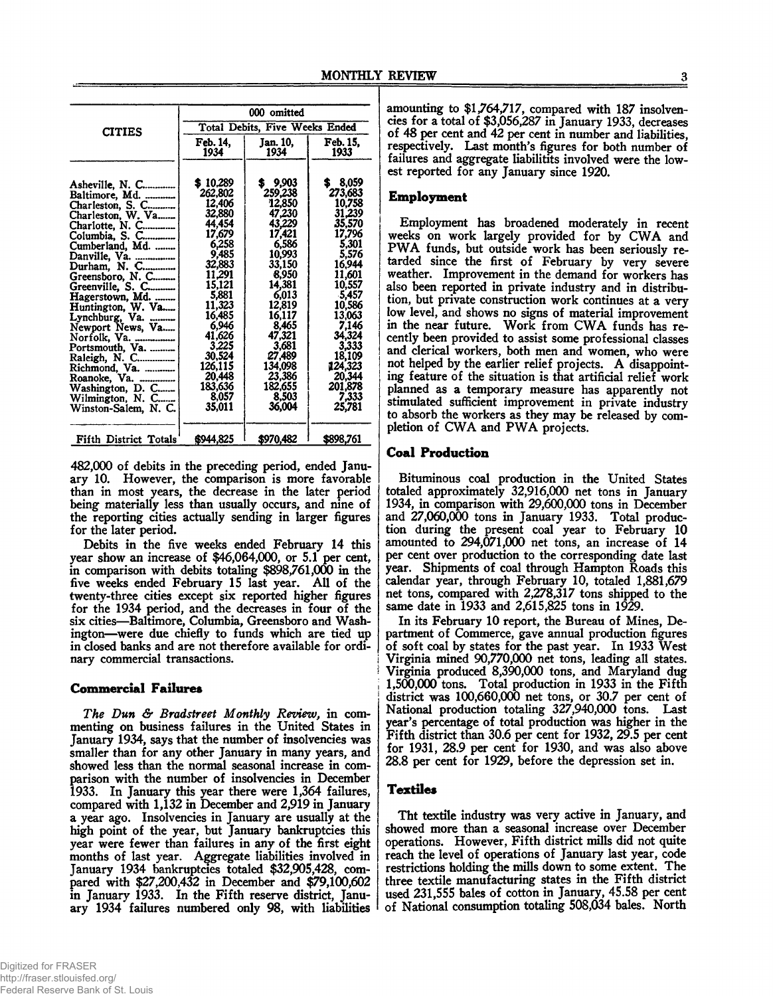|                                                                                                                                                                                                                                                                                                                                                                                                                           | 000 omitted<br><b>Total Debits, Five Weeks Ended</b>                                                                                                                                                                    |                                                                                                                                                                                                                      |                                                                                                                                                                                                                               |  |
|---------------------------------------------------------------------------------------------------------------------------------------------------------------------------------------------------------------------------------------------------------------------------------------------------------------------------------------------------------------------------------------------------------------------------|-------------------------------------------------------------------------------------------------------------------------------------------------------------------------------------------------------------------------|----------------------------------------------------------------------------------------------------------------------------------------------------------------------------------------------------------------------|-------------------------------------------------------------------------------------------------------------------------------------------------------------------------------------------------------------------------------|--|
| <b>CITIES</b>                                                                                                                                                                                                                                                                                                                                                                                                             |                                                                                                                                                                                                                         |                                                                                                                                                                                                                      |                                                                                                                                                                                                                               |  |
|                                                                                                                                                                                                                                                                                                                                                                                                                           | Feb. 14,<br>1934                                                                                                                                                                                                        | Jan. 10.<br>1934                                                                                                                                                                                                     | Feb. 15.<br>1933                                                                                                                                                                                                              |  |
| Asheville, N. C<br>Baltimore, Md.<br>Charleston, S. C<br>Charleston, W. Va<br>Charlotte, N. C<br>Columbia, S. C<br>Cumberland, Md.<br>Danville, Va.<br>Durham, N. C<br>Greensboro, N. C<br>Greenville, S. C<br>Hagerstown, Md.<br>Huntington, W. Va<br>Lynchburg, $Va$ .<br>Newport News, Va<br>Norfolk, Va.<br>Portsmouth, Va.<br>Raleigh, N. C<br>Richmond, Va.<br>Roanoke, Va.<br>Washington, D. C<br>Wilmington, N. C | \$10.289<br>262,802<br>12,406<br>32,880<br>44,454<br>17,679<br>6,258<br>9,485<br>32,883<br>11.291<br>15.121<br>5,881<br>11,323<br>16,485<br>6,946<br>41,626<br>3.225<br>30,524<br>126,115<br>20,448<br>183.636<br>8.057 | 9,903<br>259,238<br>12,850<br>47,230<br>43,229<br>17,421<br>6.586<br>10,993<br>33,150<br>8,950<br>14.381<br>6,013<br>12,819<br>16,117<br>8.465<br>47,321<br>3.681<br>27,489<br>134,098<br>23,386<br>182.655<br>8.503 | 8,059<br>S.<br>273,683<br>10,758<br>31,239<br>35,570<br>17,796<br>5.301<br>5,576<br>16,944<br>11.601<br>10,557<br>$-5,457$<br>10,586<br>13,063<br>7,146<br>34,324<br>3,333<br>18,109<br>124,323<br>20,344<br>201,878<br>7.333 |  |
| Winston-Salem, N. C.                                                                                                                                                                                                                                                                                                                                                                                                      | 35,011                                                                                                                                                                                                                  | 36,004                                                                                                                                                                                                               | 25,781                                                                                                                                                                                                                        |  |
| Fifth District Totals                                                                                                                                                                                                                                                                                                                                                                                                     | \$944,825                                                                                                                                                                                                               | \$970,482                                                                                                                                                                                                            | \$898,761                                                                                                                                                                                                                     |  |

482,000 of debits in the preceding period, ended January 10. However, the comparison is more favorable than in most years, the decrease in the later period being materially less than usually occurs, and nine of the reporting cities actually sending in larger figures for the later period.

Debits in the five weeks ended February 14 this year show an increase of \$46,064,000, or 5.1 per cent, in comparison with debits totaling \$898,761,000 in the five weeks ended February 15 last year. All of the twenty-three cities except six reported higher figures for the 1934 period, and the decreases in four of the six cities—Baltimore, Columbia, Greensboro and Washington—were due chiefly to funds which are tied up in closed banks and are not therefore available for ordinary commercial transactions.

#### **Commercial Failures**

*The Dun & Bradstreet Monthly Review,* in commenting on business failures in the United States in January 1934, says that the number of insolvencies was smaller than for any other January in many years, and showed less than the normal seasonal increase in comparison with the number of insolvencies in December 1933. In January this year there were 1,364 failures, compared with 1,132 in December and 2,919 in January a year ago. Insolvencies in January are usually at the high point of the year, but January bankruptcies this year were fewer than failures in any of the first eight months of last year. Aggregate liabilities involved in January 1934 bankruptcies totaled \$32,905,428, compared with \$27,200,432 in December and \$79,100,602 in January 1933. In the Fifth reserve district, January 1934 failures numbered only 98, with liabilities

amounting to \$1,764,717, compared with 187 insolvencies for a total of \$3,056,287 in January 1933, decreases of 48 per cent and 42 per cent in number and liabilities, respectively. Last month's figures for both number of failures and aggregate liabilitits involved were the lowest reported for any January since 1920.

#### **Employment**

Employment has broadened moderately in recent weeks on work largely provided for by CWA and PWA funds, but outside work has been seriously retarded since the first of February by very severe weather. Improvement in the demand for workers has also been reported in private industry and in distribution, but private construction work continues at a very low level, and shows no signs of material improvement in the near future. Work from CWA funds has recently been provided to assist some professional classes and clerical workers, both men and women, who were not helped by the earlier relief projects. A disappointing feature of the situation is that artificial relief work planned as a temporary measure has apparently not stimulated sufficient improvement in private industry to absorb the workers as they may be released by completion of CWA and PWA projects.

#### **Coal Production**

Bituminous coal production in the United States totaled approximately 32,916,000 net tons in January 1934, in comparison with 29,600,000 tons in December and 27,060,000 tons in January 1933. Total production during the present coal year to February 10 amounted to 294,071,000 net tons, an increase of 14 per cent over production to the corresponding date last year. Shipments of coal through Hampton Roads this calendar year, through February 10, totaled 1,881,679 net tons, compared with 2,278,317 tons shipped to the same date in 1933 and 2,615,825 tons in 1929.

In its February 10 report, the Bureau of Mines, Department of Commerce, gave annual production figures of soft coal by states for the past year. In 1933 West Virginia mined 90,770,000 net tons, leading all states. Virginia produced 8,390,000 tons, and Maryland dug 1,500,000 tons. Total production in 1933 in the Fifth district was 100,660,000 net tons, or 30.7 per cent of National production totaling 327,940,000 tons. Last year's percentage of total production was higher in the Fifth district than 30.6 per cent for 1932, 29.5 per cent for 1931, 28.9 per cent for 1930, and was also above 28.8 per cent for 1929, before the depression set in.

#### **Textiles**

Tht textile industry was very active in January, and showed more than a seasonal increase over December operations. However, Fifth district mills did not quite reach the level of operations of January last year, code restrictions holding the mills down to some extent. The three textile manufacturing states in the Fifth district used 231,555 bales of cotton in January, 45.58 per cent of National consumption totaling 508,034 bales. North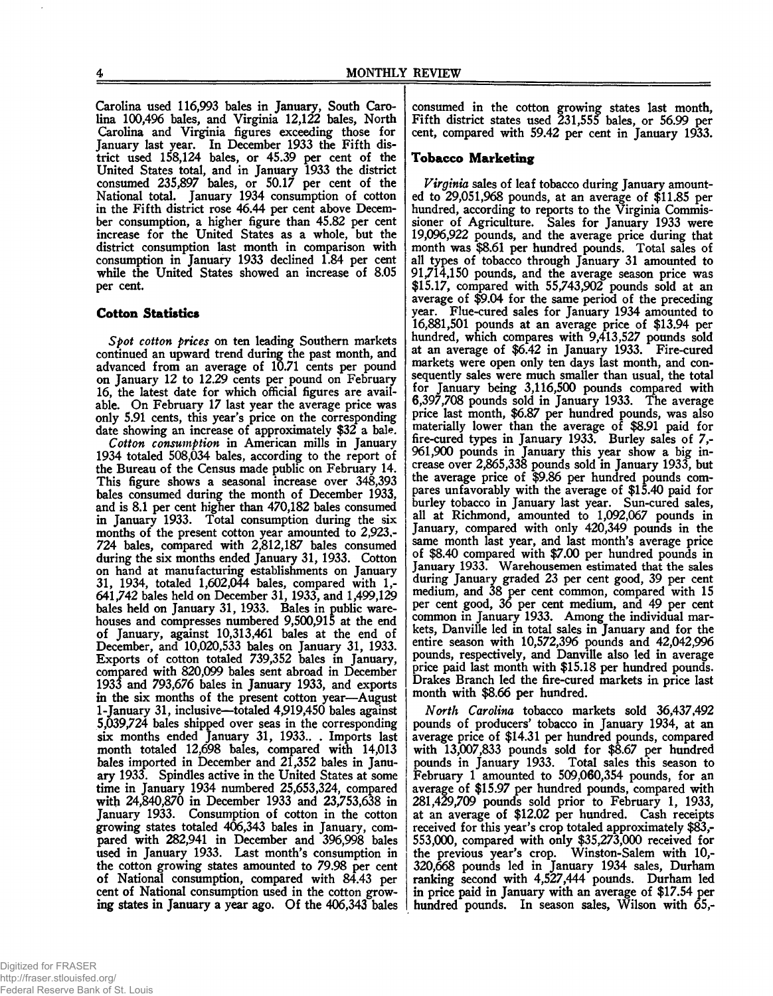Carolina used 116,993 bales in January, South Carolina 100,496 bales, and Virginia 12,122 bales, North Carolina and Virginia figures exceeding those for January last year. In December 1933 the Fifth district used 158,124 bales, or 45.39 per cent of the United States total, and in January 1933 the district consumed 235,897 bales, or 50.17 per cent of the National total. January 1934 consumption of cotton in the Fifth district rose 46.44 per cent above December consumption, a higher figure than 45.82 per cent increase for the United States as a whole, but the district consumption last month in comparison with consumption in January 1933 declined 1.84 per cent while the United States showed an increase of 8.05 per cent.

#### **Cotton Statistics**

*Spot cotton prices* on ten leading Southern markets continued an upward trend during the past month, and advanced from an average of 10.71 cents per pound on January 12 to 12.29 cents per pound on February 16, the latest date for which official figures are available. On February 17 last year the average price was only 5.91 cents, this year's price on the corresponding date showing an increase of approximately \$32 a bale.

*Cotton consumption* in American mills in January 1934 totaled 508,034 bales, according to the report of the Bureau of the Census made public on February 14. This figure shows a seasonal increase over 348,393 bales consumed during the month of December 1933, and is 8.1 per cent higher than 470,182 bales consumed in January 1933. Total consumption during the six months of the present cotton year amounted to 2,923,- 724 bales, compared with 2,812,187 bales consumed during the six months ended January 31, 1933. Cotton on hand at manufacturing establishments on January 31, 1934, totaled 1,602,044 bales, compared with 1,- 641,742 bales held on December 31,1933, and 1,499,129 bales held on January 31, 1933. Bales in public warehouses and compresses numbered 9,500,915 at the end of January, against 10,313,461 bales at the end of December, and 10,020,533 bales on January 31, 1933. Exports of cotton totaled 739,352 bales in January, compared with 820,099 bales sent abroad in December 1933 and 793,676 bales in January 1933, and exports in the six months of the present cotton year—August 1-January 31, inclusive—totaled 4,919,450 bales against 5,039,724 bales shipped over seas in the corresponding six months ended January 31, 1933.. . Imports last month totaled 12,698 bales, compared with 14,013 bales imported in December and 21,352 bales in January 1933. Spindles active in the United States at some time in January 1934 numbered 25,653,324, compared with 24,840,870 in December 1933 and 23,753,638 in January 1933. Consumption of cotton in the cotton growing states totaled 406,343 bales in January, compared with 282,941 in December and 396,998 bales used in January 1933. Last month's consumption in the cotton growing states amounted to 79.98 per cent of National consumption, compared with 84.43 per cent of National consumption used in the cotton growing states in January a year ago. Of the 406,343 bales

consumed in the cotton growing states last month, Fifth district states used 231,555 bales, or 56.99 per cent, compared with 59.42 per cent in January 1933.

#### **Tobacco M arketing**

*Virginia* sales of leaf tobacco during January amounted to 29,051,968 pounds, at an average of \$11.85 per hundred, according to reports to the Virginia Commissioner of Agriculture. Sales for January 1933 were 19,096,922 pounds, and the average price during that month was \$8.61 per hundred pounds. Total sales of all types of tobacco through January 31 amounted to 91,714,150 pounds, and the average season price was \$15.17, compared with 55,743,902 pounds sold at an average of \$9.04 for the same period of the preceding year. Flue-cured sales for January 1934 amounted to 16,881,501 pounds at an average price of \$13.94 per hundred, which compares with 9,413,527 pounds sold at an average of \$6.42 in January 1933. Fire-cured markets were open only ten days last month, and consequently sales were much smaller than usual, the total for January being 3,116,500 pounds compared with 6,397,708 pounds sold in January 1933. The average price last month, \$6.87 per hundred pounds, was also materially lower than the average of \$8.91 paid for fire-cured types in January 1933. Burley sales of 7,- 961,900 pounds in January this year show a big increase over 2,865,338 pounds sold in January 1933, but the average price of \$9.86 per hundred pounds compares unfavorably with the average of \$15.40 paid for burley tobacco in January last year. Sun-cured sales, all at Richmond, amounted to 1,092,067 pounds in January, compared with only 420,349 pounds in the same month last year, and last month's average price of \$8.40 compared with \$7.00 per hundred pounds in January 1933. Warehousemen estimated that the sales during January graded 23 per cent good, 39 per cent medium, and 38 per cent common, compared with 15 per cent good, 36 per cent medium, and 49 per cent common in January 1933. Among the individual markets, Danville led in total sales in January and for the entire season with 10,572,396 pounds and 42,042,996 pounds, respectively, and Danville also led in average price paid last month with \$15.18 per hundred pounds. Drakes Branch led the fire-cured markets in price last month with \$8.66 per hundred.

*North Carolina* tobacco markets sold 36,437,492 pounds of producers' tobacco in January 1934, at an average price of \$14.31 per hundred pounds, compared with 13,007,833 pounds sold for \$8.67 per hundred pounds in January 1933. Total sales this season to February 1 amounted to 509,060,354 pounds, for an average of \$15.97 per hundred pounds, compared with 281,429,709 pounds sold prior to February 1, 1933, at an average of \$12.02 per hundred. Cash receipts received for this year's crop totaled approximately \$83,- 553,000, compared with only \$35,273,000 received for the previous year's crop. Winston-Salem with 10,- 320,668 pounds led in January 1934 sales, Durham ranking second with 4,527,444 pounds. Durham led in price paid in January with an average of \$17.54 per hundred pounds. In season sales, Wilson with 65,-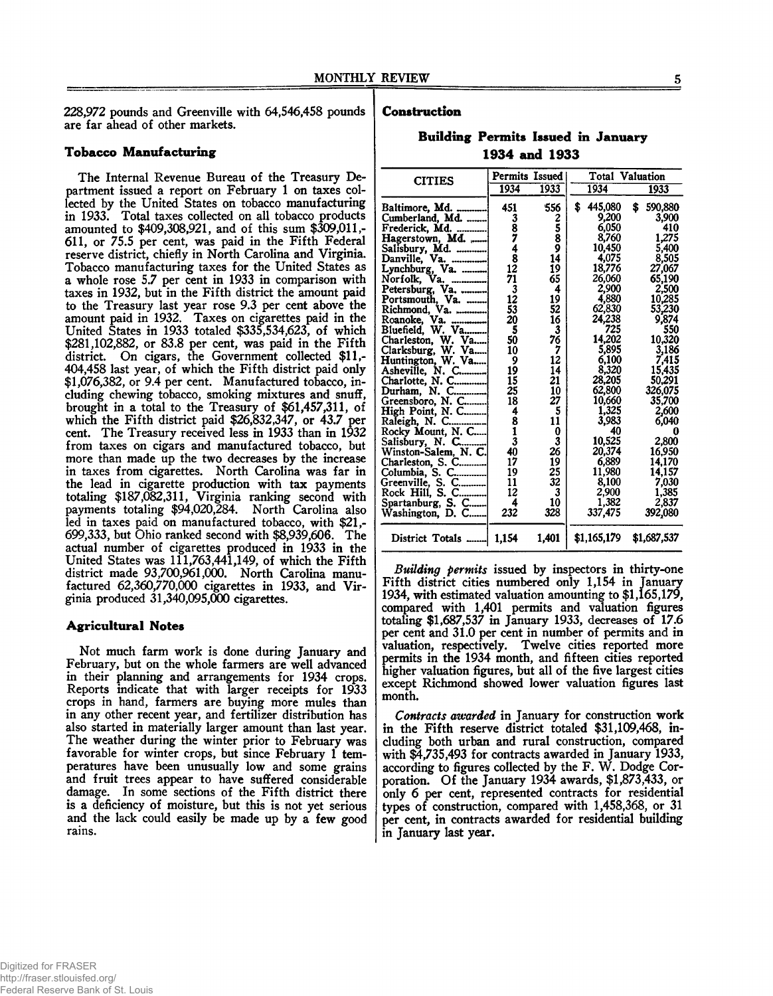228,972 pounds and Greenville with 64,546,458 pounds are far ahead of other markets.

#### **Tobacco Manufacturing**

The Internal Revenue Bureau of the Treasury Department issued a report on February 1 on taxes collected by the United States on tobacco manufacturing in 1933. Total taxes collected on all tobacco products amounted to \$409,308,921, and of this sum \$309,011,- 611, or 75.5 per cent, was paid in the Fifth Federal reserve district, chiefly in North Carolina and Virginia. Tobacco manufacturing taxes for the United States as a whole rose 5.7 per cent in 1933 in comparison with taxes in 1932, but in the Fifth district the amount paid to the Treasury last year rose 9.3 per cent above the amount paid in 1932. Taxes on cigarettes paid in the United States in 1933 totaled \$335,534,623, of which \$281,102,882, or 83.8 per cent, was paid in the Fifth district. On cigars, the Government collected \$11,-404,458 last year, of which the Fifth district paid only \$1,076,382, or 9.4 per cent. Manufactured tobacco, including chewing tobacco, smoking mixtures and snuff, brought in a total to the Treasury of \$61,457,311, of which the Fifth district paid \$26,832,347, or 43.7 per cent. The Treasury received less in 1933 than in 1932 from taxes on cigars and manufactured tobacco, but more than made up the two decreases by the increase in taxes from cigarettes. North Carolina was far in the lead in cigarette production with tax payments totaling \$187,082,311, Virginia ranking second with payments totaling \$94,020,284. North Carolina also led in taxes paid on manufactured tobacco, with \$21,- 699,333, but Ohio ranked second with \$8,939,606. The actual number of cigarettes produced in 1933 in the United States was  $111,763,441,149$ , of which the Fifth district made 93,700,961,000. North Carolina manufactured 62,360,770,000 cigarettes in 1933, and Virginia produced 31,340,095,000 cigarettes.

#### **Agricultural Notes**

Not much farm work is done during January and February, but on the whole farmers are well advanced in their planning and arrangements for 1934 crops. Reports indicate that with larger receipts for 1933 crops in hand, farmers are buying more mules than in any other recent year, and fertilizer distribution has also started in materially larger amount than last year. The weather during the winter prior to February was favorable for winter crops, but since February 1 temperatures have been unusually low and some grains and fruit trees appear to have suffered considerable damage. In some sections of the Fifth district there is a deficiency of moisture, but this is not yet serious and the lack could easily be made up by a few good rains.

#### **Construction**

#### **Building Permits Issued in January 1934 and 1933**

| <b>CITIES</b>                        | Permits Issued   |              | Total Valuation |               |  |
|--------------------------------------|------------------|--------------|-----------------|---------------|--|
|                                      | 1934             | 1933         | 1934            | 1933          |  |
| Baltimore, Md.                       | 451              | 556          | 445,080<br>\$   | 590.880<br>\$ |  |
| Cumberland, Md.                      | 3<br>8<br>7<br>4 | 25<br>8<br>9 | 9,200           | 3.900         |  |
| Frederick, Md.                       |                  |              | 6.050           | 410           |  |
| Hagerstown, Md.                      |                  |              | 8,760           | 1,275         |  |
| Salisbury, Md.                       |                  |              | 10,450          | 5,400         |  |
| Danville, Va.                        | 8                | 14           | 4,075           | 8,505         |  |
| Lynchburg, Va.                       | 12               | 19           | 18,776          | 27,067        |  |
| Nor folk,<br>Va.                     | 71               | 65           | 26,060          | 65.190        |  |
| Petersburg, Va.                      | 3                | 4            | 2,900           | 2,500         |  |
| Portsmouth, Va.                      | 12               | 19           | 4,880           | 10,285        |  |
| Richmond, Va.                        | 53               | 52           | 62,830          | 53,230        |  |
| Roanoke, Va.                         | 20               | 16           | 24,238          | 9,874         |  |
| Bluefield, W. Va                     | 5                | 3            | 725             | 550           |  |
| Charleston, W. Va                    | 50               | 76           | 14,202          | 10,320        |  |
| Clarksburg, W. Va                    | 10               | 7            | 5,895           | 3,186         |  |
| Huntington, W. Va<br>Asheville, N. C | 9                | 12           | 6,100           | 7,415         |  |
|                                      | 19               | 14           | 8,320           | 15,435        |  |
|                                      | 15               | 21           | 28,205          | 50,291        |  |
|                                      | 25               | 10           | 62,800          | 326,075       |  |
| Greensboro, N. C<br>High Point, N. C | 18               | 27           | 10,660          | 35,700        |  |
|                                      | 4                | 5            | 1.325           | 2,600         |  |
| Raleigh, N. C.                       | 8<br>1           | 11           | 3,983           | 6.040         |  |
| Rocky Mount, N. C                    |                  | 0            | 40              | o             |  |
| Salisbury, N. C                      | 3                | 3            | 10,525          | 2,800         |  |
| Winston-Salem, N. C.                 | 40               | 26           | 20,374          | 16,950        |  |
| Charleston, S. C                     | 17               | 19           | 6,889           | 14,170        |  |
| Columbia, S. C                       | 19               | 25           | 11,980          | 14.157        |  |
| Greenville. S. C                     | 11               | 32           | 8,100           | 7.030         |  |
| Rock Hill, S. C…………                  | 12               | 3            | 2,900           | 1.385         |  |
| Spartanburg, S. C                    | 4                | 10           | 1,382           | 2,837         |  |
| Washington, D. C                     | 232              | 328          | 337,475         | 392,080       |  |
| District Totals                      | 1.154            | 1,401        | \$1,165,179     | \$1,687,537   |  |

*Building permits* issued by inspectors in thirty-one Fifth district cities numbered only 1,154 in January 1934, with estimated valuation amounting to \$1,165,179, compared with 1,401 permits and valuation figures totaling \$1,687,537 in January 1933, decreases of 17.6 per cent and 31.0 per cent in number of permits and in valuation, respectively. Twelve cities reported more permits in the 1934 month, and fifteen cities reported higher valuation figures, but all of the five largest cities except Richmond showed lower valuation figures last month.

*Contracts awarded* in January for construction work in the Fifth reserve district totaled \$31,109,468, including both urban and rural construction, compared with \$4,735,493 for contracts awarded in January 1933, according to figures collected by the F. W. Dodge Corporation. Of the January 1934 awards, \$1,873,433, or only 6 per cent, represented contracts for residential types of construction, compared with 1,458,368, or 31 per cent, in contracts awarded for residential building in January last year.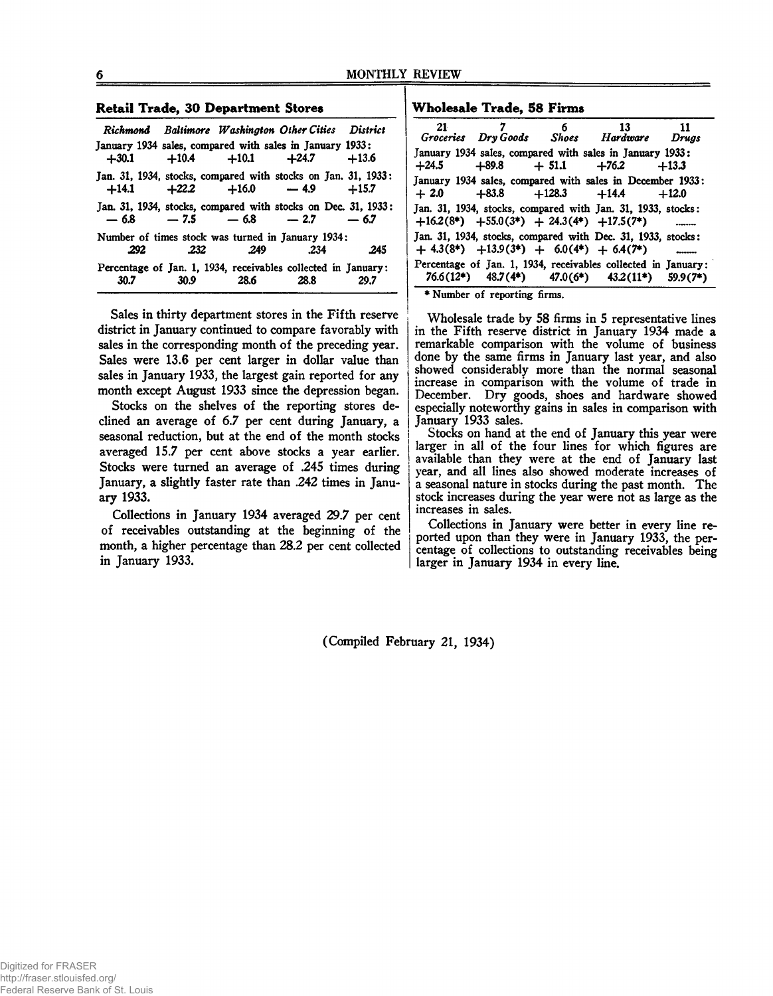#### **R etail Trade, 30 Department Stores**

|                                                               |      |                           | Richmond Baltimore Washington Other Cities District |         |
|---------------------------------------------------------------|------|---------------------------|-----------------------------------------------------|---------|
| January 1934 sales, compared with sales in January 1933:      |      |                           |                                                     |         |
|                                                               |      | $+30.1 +10.4 +10.1 +24.7$ |                                                     | $+13.6$ |
| Jan. 31, 1934, stocks, compared with stocks on Jan. 31, 1933: |      |                           | $+14.1$ $+22.2$ $+16.0$ $-4.9$ $+15.7$              |         |
| Jan. 31, 1934, stocks, compared with stocks on Dec. 31, 1933: |      |                           | $-6.8$ $-7.5$ $-6.8$ $-2.7$ $-6.7$                  |         |
| Number of times stock was turned in January 1934;             |      |                           |                                                     |         |
| .292                                                          | .232 | - 249                     | .234                                                | .245    |
| Percentage of Jan. 1, 1934, receivables collected in January: |      |                           |                                                     |         |
| 30.7                                                          | 30.9 | 28.6                      | 28.8                                                | 29.7    |

Sales in thirty department stores in the Fifth reserve district in January continued to compare favorably with sales in the corresponding month of the preceding year. Sales were 13.6 per cent larger in dollar value than sales in January 1933, the largest gain reported for any month except August 1933 since the depression began.

Stocks on the shelves of the reporting stores declined an average of 6.7 per cent during January, a seasonal reduction, but at the end of the month stocks averaged 15.7 per cent above stocks a year earlier. Stocks were turned an average of .245 times during January, a slightly faster rate than .242 times in January 1933.

Collections in January 1934 averaged 29.7 per cent of receivables outstanding at the beginning of the month, a higher percentage than 28.2 per cent collected in January 1933.

#### **W holesale Trade, 58 Firms**

|  | 7 6 13 11<br>Groceries Dry Goods Shoes Hardware Drugs<br>January 1934 sales, compared with sales in January 1933:<br>$+24.5$ $+89.8$ $+51.1$ $+76.2$ $+13.3$<br>January 1934 sales, compared with sales in December 1933:<br>$+2.0$ $+83.8$ $+128.3$ $+14.4$ $+12.0$<br>Jan. 31, 1934, stocks, compared with Jan. 31, 1933, stocks:<br>$+16.2(8^*)$ $+55.0(3^*)$ $+ 24.3(4^*)$ $+17.5(7^*)$<br>Jan. 31, 1934, stocks, compared with Dec. 31, 1933, stocks:<br>$+ 4.3(8*)$ $+13.9(3*)$ $+ 6.0(4*)$ $+ 6.4(7*)$<br>Percentage of Jan. 1, 1934, receivables collected in January:<br>$76.6(12^*)$ $48.7(4^*)$ $47.0(6^*)$ $43.2(11^*)$ $59.9(7^*)$ |
|--|-------------------------------------------------------------------------------------------------------------------------------------------------------------------------------------------------------------------------------------------------------------------------------------------------------------------------------------------------------------------------------------------------------------------------------------------------------------------------------------------------------------------------------------------------------------------------------------------------------------------------------------------------|

♦Number of reporting firms.

Wholesale trade by 58 firms in 5 representative lines in the Fifth reserve district in January 1934 made a remarkable comparison with the volume of business done by the same firms in January last year, and also showed considerably more than the normal seasonal increase in comparison with the volume of trade in December. Dry goods, shoes and hardware showed especially noteworthy gains in sales in comparison with January 1933 sales.

Stocks on hand at the end of January this year were larger in all of the four lines for which figures are available than they were at the end of January last year, and all lines also showed moderate increases of a seasonal nature in stocks during the past month. The stock increases during the year were not as large as the increases in sales.

Collections in January were better in every line reported upon than they were in January 1933, the percentage of collections to outstanding receivables being larger in January 1934 in every line.

(Compiled February 21, 1934)